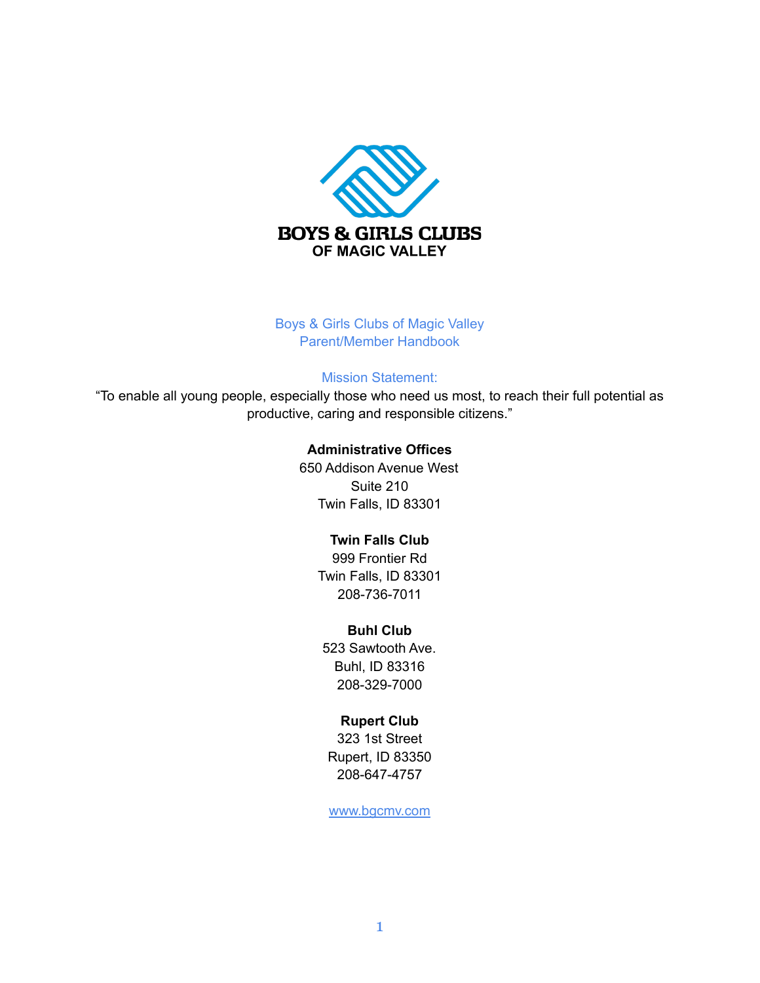

Boys & Girls Clubs of Magic Valley Parent/Member Handbook

#### Mission Statement:

"To enable all young people, especially those who need us most, to reach their full potential as productive, caring and responsible citizens."

#### **Administrative Offices**

650 Addison Avenue West Suite 210 Twin Falls, ID 83301

### **Twin Falls Club**

999 Frontier Rd Twin Falls, ID 83301 208-736-7011

### **Buhl Club**

523 Sawtooth Ave. Buhl, ID 83316 208-329-7000

### **Rupert Club**

323 1st Street Rupert, ID 83350 208-647-4757

www.bgcmv.com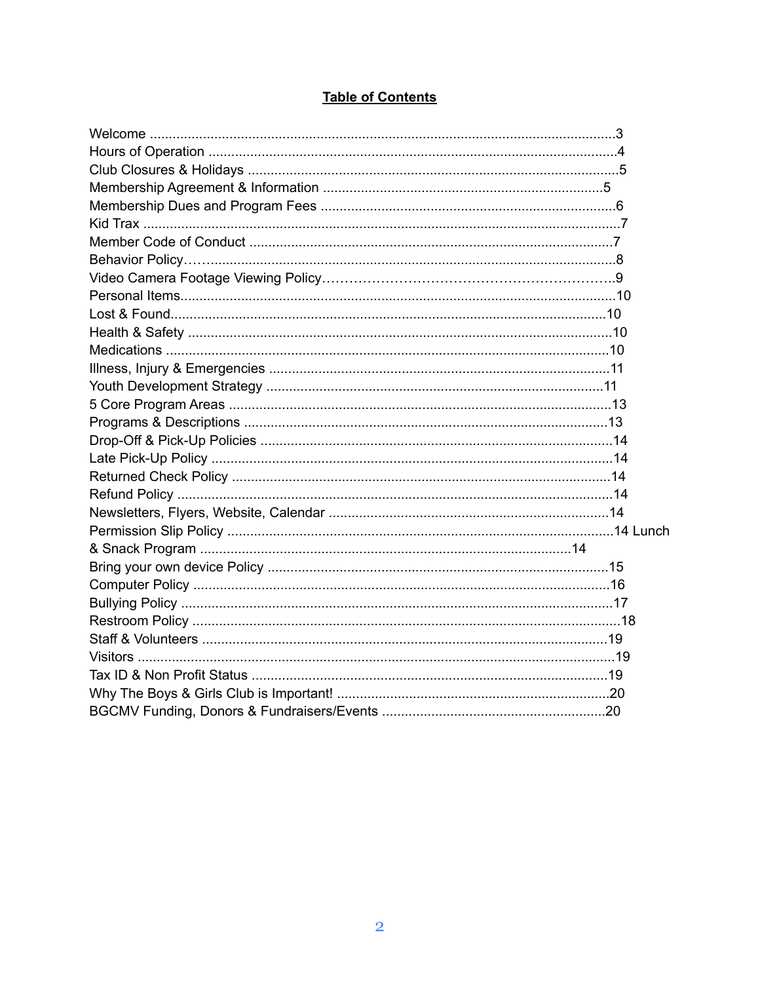| <b>Table of Contents</b> |  |  |
|--------------------------|--|--|
|                          |  |  |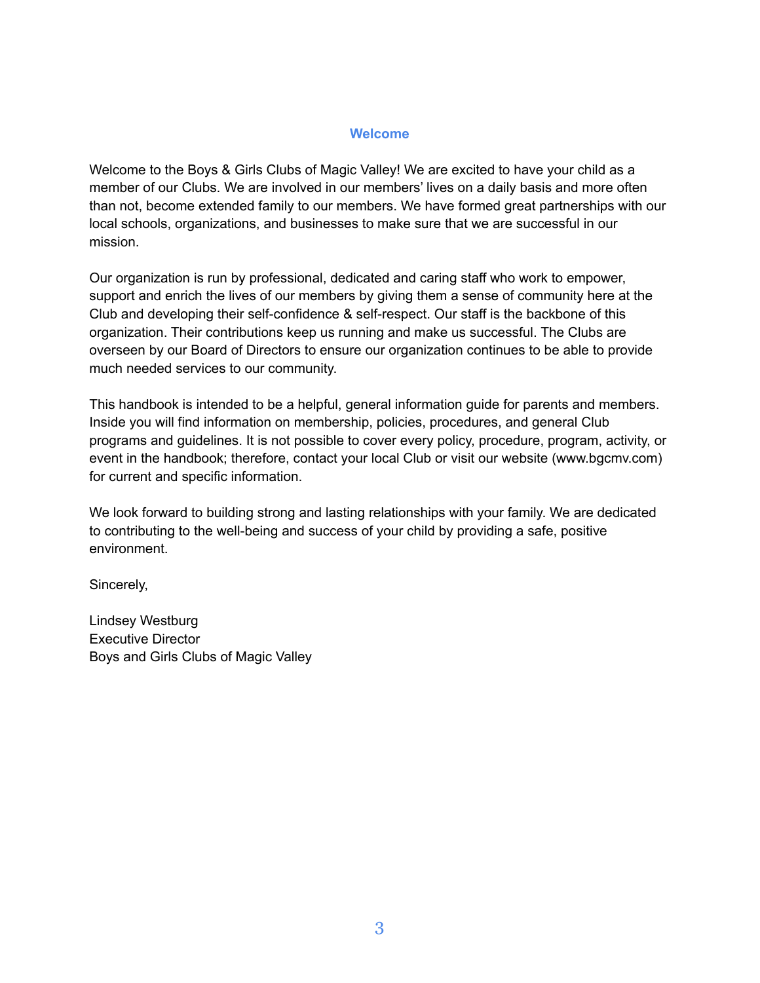### **Welcome**

Welcome to the Boys & Girls Clubs of Magic Valley! We are excited to have your child as a member of our Clubs. We are involved in our members' lives on a daily basis and more often than not, become extended family to our members. We have formed great partnerships with our local schools, organizations, and businesses to make sure that we are successful in our mission.

Our organization is run by professional, dedicated and caring staff who work to empower, support and enrich the lives of our members by giving them a sense of community here at the Club and developing their self-confidence & self-respect. Our staff is the backbone of this organization. Their contributions keep us running and make us successful. The Clubs are overseen by our Board of Directors to ensure our organization continues to be able to provide much needed services to our community.

This handbook is intended to be a helpful, general information guide for parents and members. Inside you will find information on membership, policies, procedures, and general Club programs and guidelines. It is not possible to cover every policy, procedure, program, activity, or event in the handbook; therefore, contact your local Club or visit our website (www.bgcmv.com) for current and specific information.

We look forward to building strong and lasting relationships with your family. We are dedicated to contributing to the well-being and success of your child by providing a safe, positive environment.

Sincerely,

Lindsey Westburg Executive Director Boys and Girls Clubs of Magic Valley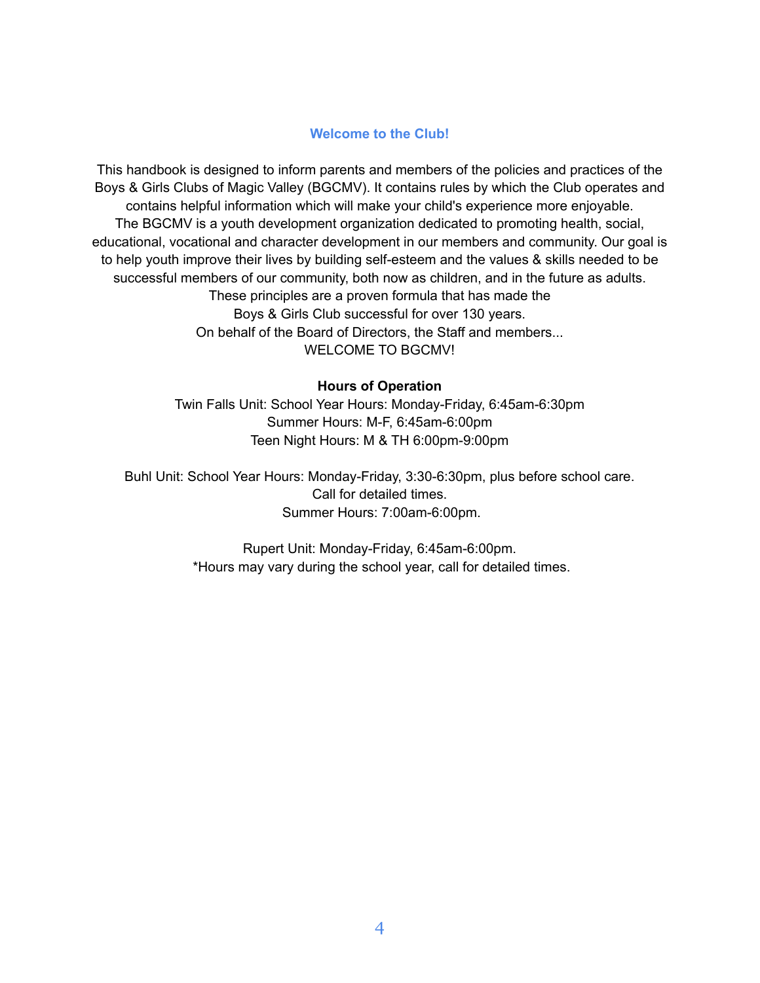# **Welcome to the Club!**

This handbook is designed to inform parents and members of the policies and practices of the Boys & Girls Clubs of Magic Valley (BGCMV). It contains rules by which the Club operates and contains helpful information which will make your child's experience more enjoyable. The BGCMV is a youth development organization dedicated to promoting health, social, educational, vocational and character development in our members and community. Our goal is to help youth improve their lives by building self-esteem and the values & skills needed to be successful members of our community, both now as children, and in the future as adults. These principles are a proven formula that has made the Boys & Girls Club successful for over 130 years. On behalf of the Board of Directors, the Staff and members... WELCOME TO BGCMV!

### **Hours of Operation**

Twin Falls Unit: School Year Hours: Monday-Friday, 6:45am-6:30pm Summer Hours: M-F, 6:45am-6:00pm Teen Night Hours: M & TH 6:00pm-9:00pm

Buhl Unit: School Year Hours: Monday-Friday, 3:30-6:30pm, plus before school care. Call for detailed times. Summer Hours: 7:00am-6:00pm.

> Rupert Unit: Monday-Friday, 6:45am-6:00pm. \*Hours may vary during the school year, call for detailed times.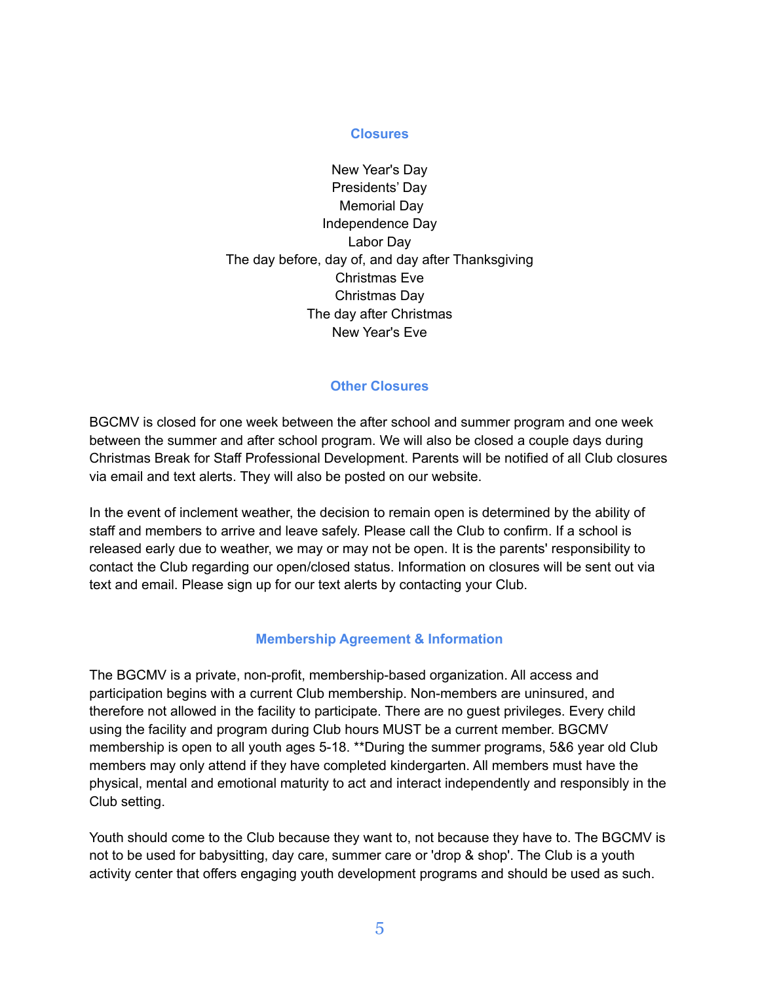### **Closures**

New Year's Day Presidents' Day Memorial Day Independence Day Labor Day The day before, day of, and day after Thanksgiving Christmas Eve Christmas Day The day after Christmas New Year's Eve

### **Other Closures**

BGCMV is closed for one week between the after school and summer program and one week between the summer and after school program. We will also be closed a couple days during Christmas Break for Staff Professional Development. Parents will be notified of all Club closures via email and text alerts. They will also be posted on our website.

In the event of inclement weather, the decision to remain open is determined by the ability of staff and members to arrive and leave safely. Please call the Club to confirm. If a school is released early due to weather, we may or may not be open. It is the parents' responsibility to contact the Club regarding our open/closed status. Information on closures will be sent out via text and email. Please sign up for our text alerts by contacting your Club.

# **Membership Agreement & Information**

The BGCMV is a private, non-profit, membership-based organization. All access and participation begins with a current Club membership. Non-members are uninsured, and therefore not allowed in the facility to participate. There are no guest privileges. Every child using the facility and program during Club hours MUST be a current member. BGCMV membership is open to all youth ages 5-18. \*\*During the summer programs, 5&6 year old Club members may only attend if they have completed kindergarten. All members must have the physical, mental and emotional maturity to act and interact independently and responsibly in the Club setting.

Youth should come to the Club because they want to, not because they have to. The BGCMV is not to be used for babysitting, day care, summer care or 'drop & shop'. The Club is a youth activity center that offers engaging youth development programs and should be used as such.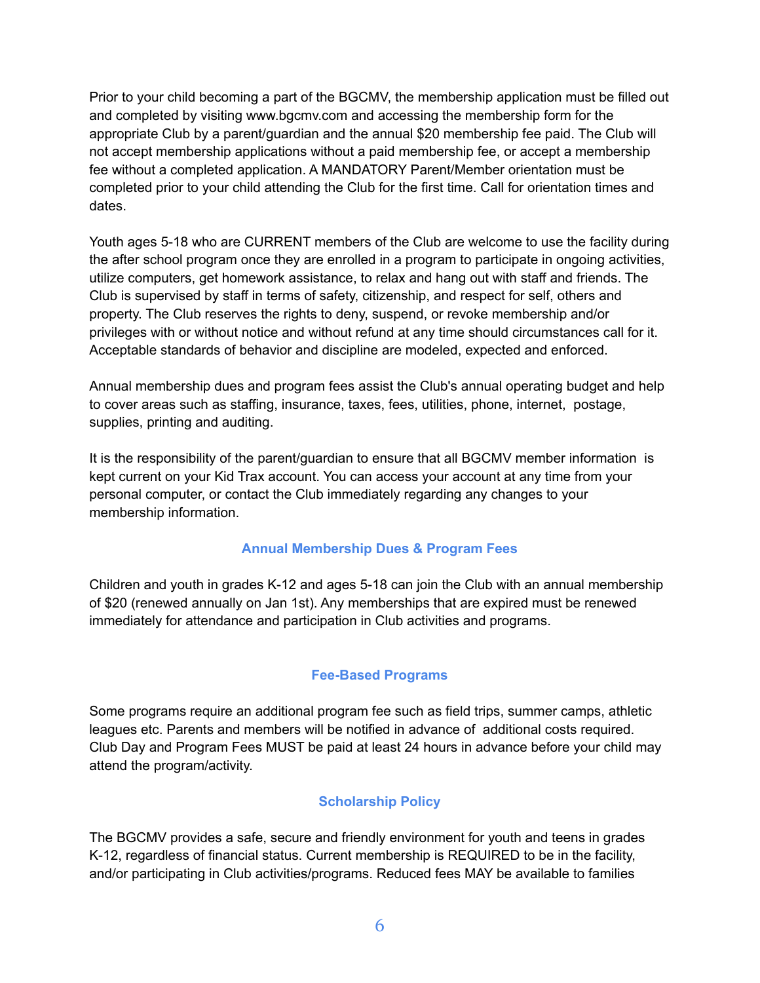Prior to your child becoming a part of the BGCMV, the membership application must be filled out and completed by visiting www.bgcmv.com and accessing the membership form for the appropriate Club by a parent/guardian and the annual \$20 membership fee paid. The Club will not accept membership applications without a paid membership fee, or accept a membership fee without a completed application. A MANDATORY Parent/Member orientation must be completed prior to your child attending the Club for the first time. Call for orientation times and dates.

Youth ages 5-18 who are CURRENT members of the Club are welcome to use the facility during the after school program once they are enrolled in a program to participate in ongoing activities, utilize computers, get homework assistance, to relax and hang out with staff and friends. The Club is supervised by staff in terms of safety, citizenship, and respect for self, others and property. The Club reserves the rights to deny, suspend, or revoke membership and/or privileges with or without notice and without refund at any time should circumstances call for it. Acceptable standards of behavior and discipline are modeled, expected and enforced.

Annual membership dues and program fees assist the Club's annual operating budget and help to cover areas such as staffing, insurance, taxes, fees, utilities, phone, internet, postage, supplies, printing and auditing.

It is the responsibility of the parent/guardian to ensure that all BGCMV member information is kept current on your Kid Trax account. You can access your account at any time from your personal computer, or contact the Club immediately regarding any changes to your membership information.

# **Annual Membership Dues & Program Fees**

Children and youth in grades K-12 and ages 5-18 can join the Club with an annual membership of \$20 (renewed annually on Jan 1st). Any memberships that are expired must be renewed immediately for attendance and participation in Club activities and programs.

# **Fee-Based Programs**

Some programs require an additional program fee such as field trips, summer camps, athletic leagues etc. Parents and members will be notified in advance of additional costs required. Club Day and Program Fees MUST be paid at least 24 hours in advance before your child may attend the program/activity.

# **Scholarship Policy**

The BGCMV provides a safe, secure and friendly environment for youth and teens in grades K-12, regardless of financial status. Current membership is REQUIRED to be in the facility, and/or participating in Club activities/programs. Reduced fees MAY be available to families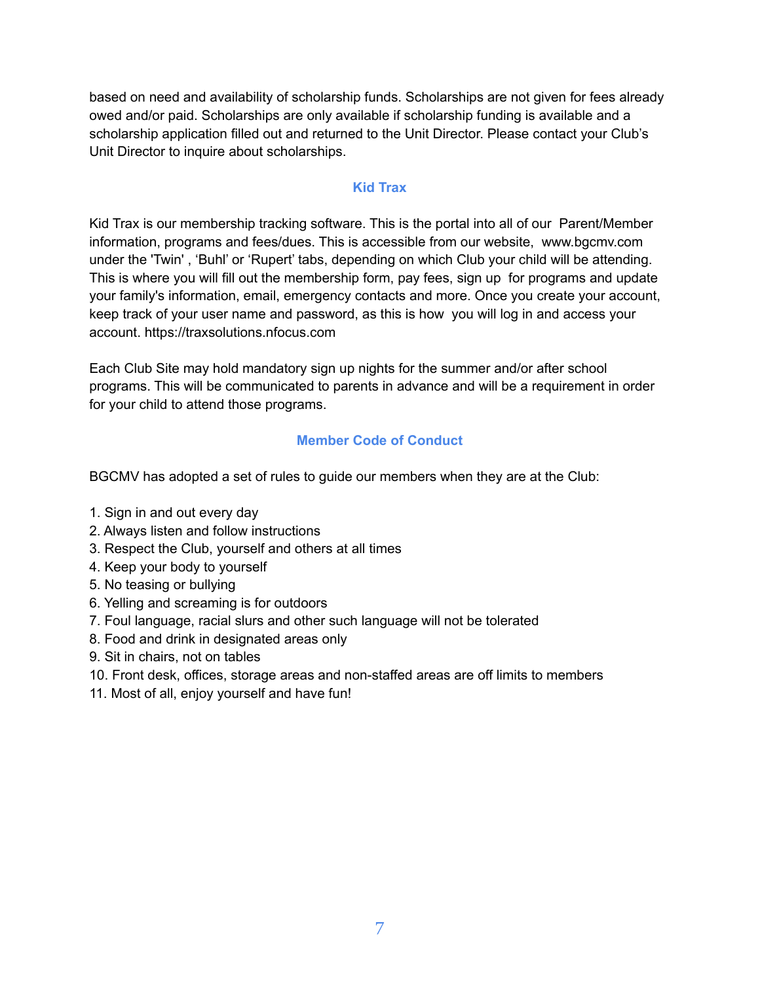based on need and availability of scholarship funds. Scholarships are not given for fees already owed and/or paid. Scholarships are only available if scholarship funding is available and a scholarship application filled out and returned to the Unit Director. Please contact your Club's Unit Director to inquire about scholarships.

### **Kid Trax**

Kid Trax is our membership tracking software. This is the portal into all of our Parent/Member information, programs and fees/dues. This is accessible from our website, www.bgcmv.com under the 'Twin' , 'Buhl' or 'Rupert' tabs, depending on which Club your child will be attending. This is where you will fill out the membership form, pay fees, sign up for programs and update your family's information, email, emergency contacts and more. Once you create your account, keep track of your user name and password, as this is how you will log in and access your account. https://traxsolutions.nfocus.com

Each Club Site may hold mandatory sign up nights for the summer and/or after school programs. This will be communicated to parents in advance and will be a requirement in order for your child to attend those programs.

# **Member Code of Conduct**

BGCMV has adopted a set of rules to guide our members when they are at the Club:

- 1. Sign in and out every day
- 2. Always listen and follow instructions
- 3. Respect the Club, yourself and others at all times
- 4. Keep your body to yourself
- 5. No teasing or bullying
- 6. Yelling and screaming is for outdoors
- 7. Foul language, racial slurs and other such language will not be tolerated
- 8. Food and drink in designated areas only
- 9. Sit in chairs, not on tables
- 10. Front desk, offices, storage areas and non-staffed areas are off limits to members
- 11. Most of all, enjoy yourself and have fun!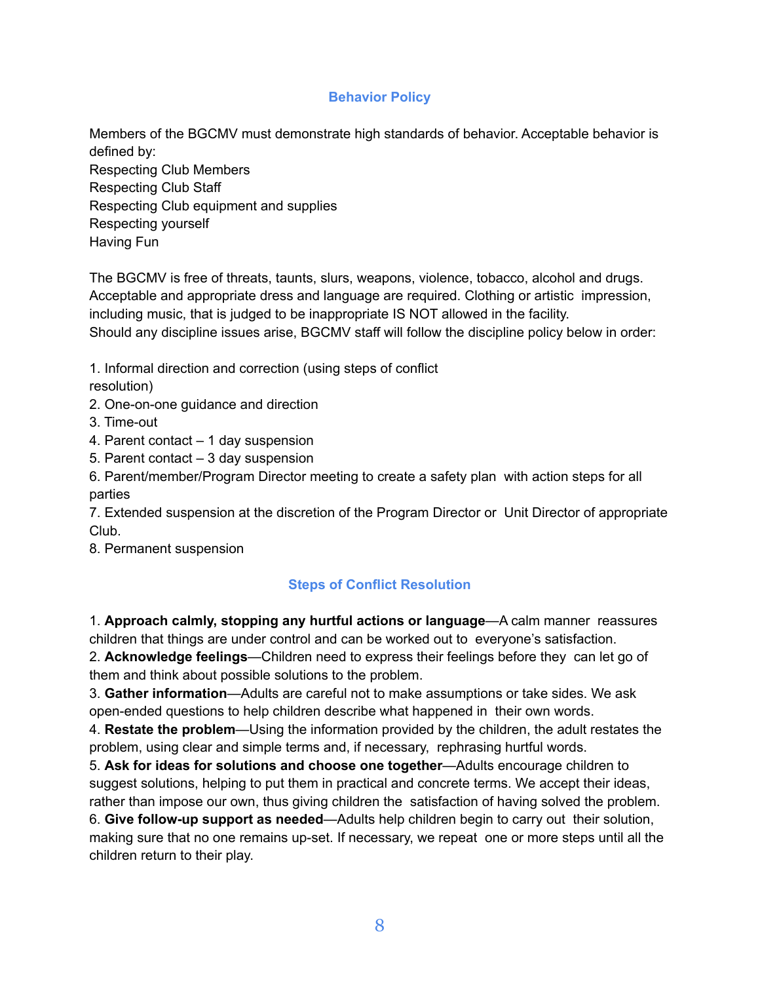# **Behavior Policy**

Members of the BGCMV must demonstrate high standards of behavior. Acceptable behavior is defined by: Respecting Club Members Respecting Club Staff Respecting Club equipment and supplies Respecting yourself Having Fun

The BGCMV is free of threats, taunts, slurs, weapons, violence, tobacco, alcohol and drugs. Acceptable and appropriate dress and language are required. Clothing or artistic impression, including music, that is judged to be inappropriate IS NOT allowed in the facility. Should any discipline issues arise, BGCMV staff will follow the discipline policy below in order:

1. Informal direction and correction (using steps of conflict

resolution)

- 2. One-on-one guidance and direction
- 3. Time-out
- 4. Parent contact 1 day suspension
- 5. Parent contact 3 day suspension

6. Parent/member/Program Director meeting to create a safety plan with action steps for all parties

7. Extended suspension at the discretion of the Program Director or Unit Director of appropriate Club.

8. Permanent suspension

# **Steps of Conflict Resolution**

1. **Approach calmly, stopping any hurtful actions or language**—A calm manner reassures children that things are under control and can be worked out to everyone's satisfaction.

2. **Acknowledge feelings**—Children need to express their feelings before they can let go of them and think about possible solutions to the problem.

3. **Gather information**—Adults are careful not to make assumptions or take sides. We ask open-ended questions to help children describe what happened in their own words.

4. **Restate the problem**—Using the information provided by the children, the adult restates the problem, using clear and simple terms and, if necessary, rephrasing hurtful words.

5. **Ask for ideas for solutions and choose one together**—Adults encourage children to suggest solutions, helping to put them in practical and concrete terms. We accept their ideas, rather than impose our own, thus giving children the satisfaction of having solved the problem.

6. **Give follow-up support as needed**—Adults help children begin to carry out their solution, making sure that no one remains up-set. If necessary, we repeat one or more steps until all the children return to their play.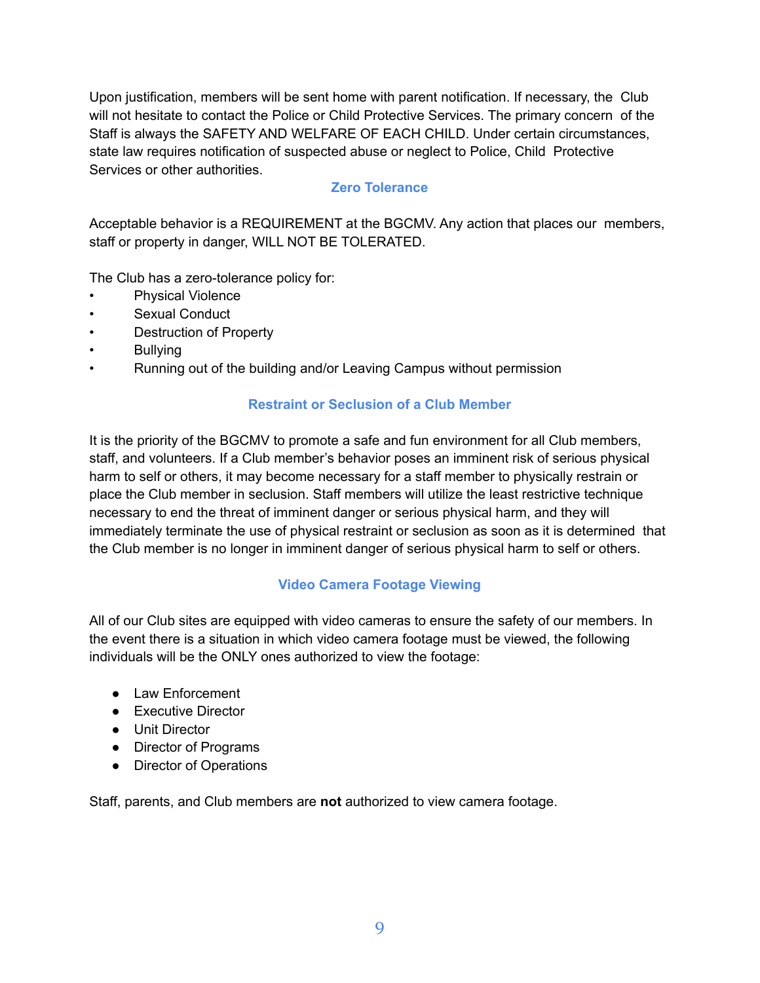Upon justification, members will be sent home with parent notification. If necessary, the Club will not hesitate to contact the Police or Child Protective Services. The primary concern of the Staff is always the SAFETY AND WELFARE OF EACH CHILD. Under certain circumstances, state law requires notification of suspected abuse or neglect to Police, Child Protective Services or other authorities.

# **Zero Tolerance**

Acceptable behavior is a REQUIREMENT at the BGCMV. Any action that places our members, staff or property in danger, WILL NOT BE TOLERATED.

The Club has a zero-tolerance policy for:

- Physical Violence
- Sexual Conduct
- Destruction of Property
- Bullying
- Running out of the building and/or Leaving Campus without permission

# **Restraint or Seclusion of a Club Member**

It is the priority of the BGCMV to promote a safe and fun environment for all Club members, staff, and volunteers. If a Club member's behavior poses an imminent risk of serious physical harm to self or others, it may become necessary for a staff member to physically restrain or place the Club member in seclusion. Staff members will utilize the least restrictive technique necessary to end the threat of imminent danger or serious physical harm, and they will immediately terminate the use of physical restraint or seclusion as soon as it is determined that the Club member is no longer in imminent danger of serious physical harm to self or others.

# **Video Camera Footage Viewing**

All of our Club sites are equipped with video cameras to ensure the safety of our members. In the event there is a situation in which video camera footage must be viewed, the following individuals will be the ONLY ones authorized to view the footage:

- Law Enforcement
- Executive Director
- Unit Director
- Director of Programs
- Director of Operations

Staff, parents, and Club members are **not** authorized to view camera footage.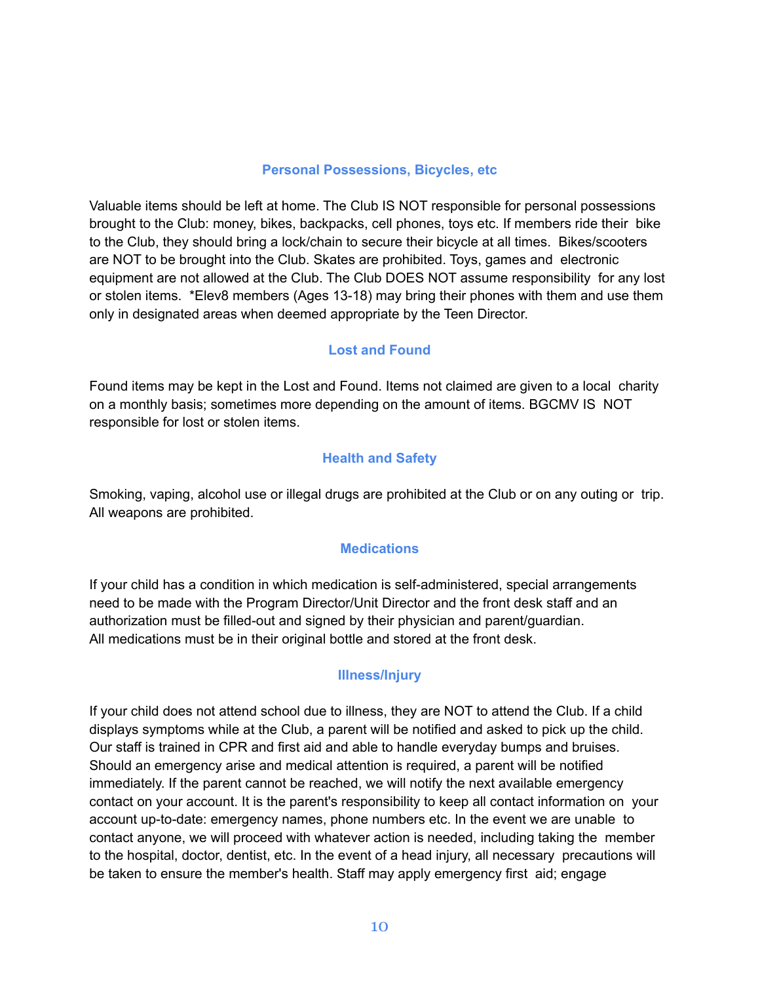#### **Personal Possessions, Bicycles, etc**

Valuable items should be left at home. The Club IS NOT responsible for personal possessions brought to the Club: money, bikes, backpacks, cell phones, toys etc. If members ride their bike to the Club, they should bring a lock/chain to secure their bicycle at all times. Bikes/scooters are NOT to be brought into the Club. Skates are prohibited. Toys, games and electronic equipment are not allowed at the Club. The Club DOES NOT assume responsibility for any lost or stolen items. \*Elev8 members (Ages 13-18) may bring their phones with them and use them only in designated areas when deemed appropriate by the Teen Director.

### **Lost and Found**

Found items may be kept in the Lost and Found. Items not claimed are given to a local charity on a monthly basis; sometimes more depending on the amount of items. BGCMV IS NOT responsible for lost or stolen items.

### **Health and Safety**

Smoking, vaping, alcohol use or illegal drugs are prohibited at the Club or on any outing or trip. All weapons are prohibited.

### **Medications**

If your child has a condition in which medication is self-administered, special arrangements need to be made with the Program Director/Unit Director and the front desk staff and an authorization must be filled-out and signed by their physician and parent/guardian. All medications must be in their original bottle and stored at the front desk.

# **Illness/Injury**

If your child does not attend school due to illness, they are NOT to attend the Club. If a child displays symptoms while at the Club, a parent will be notified and asked to pick up the child. Our staff is trained in CPR and first aid and able to handle everyday bumps and bruises. Should an emergency arise and medical attention is required, a parent will be notified immediately. If the parent cannot be reached, we will notify the next available emergency contact on your account. It is the parent's responsibility to keep all contact information on your account up-to-date: emergency names, phone numbers etc. In the event we are unable to contact anyone, we will proceed with whatever action is needed, including taking the member to the hospital, doctor, dentist, etc. In the event of a head injury, all necessary precautions will be taken to ensure the member's health. Staff may apply emergency first aid; engage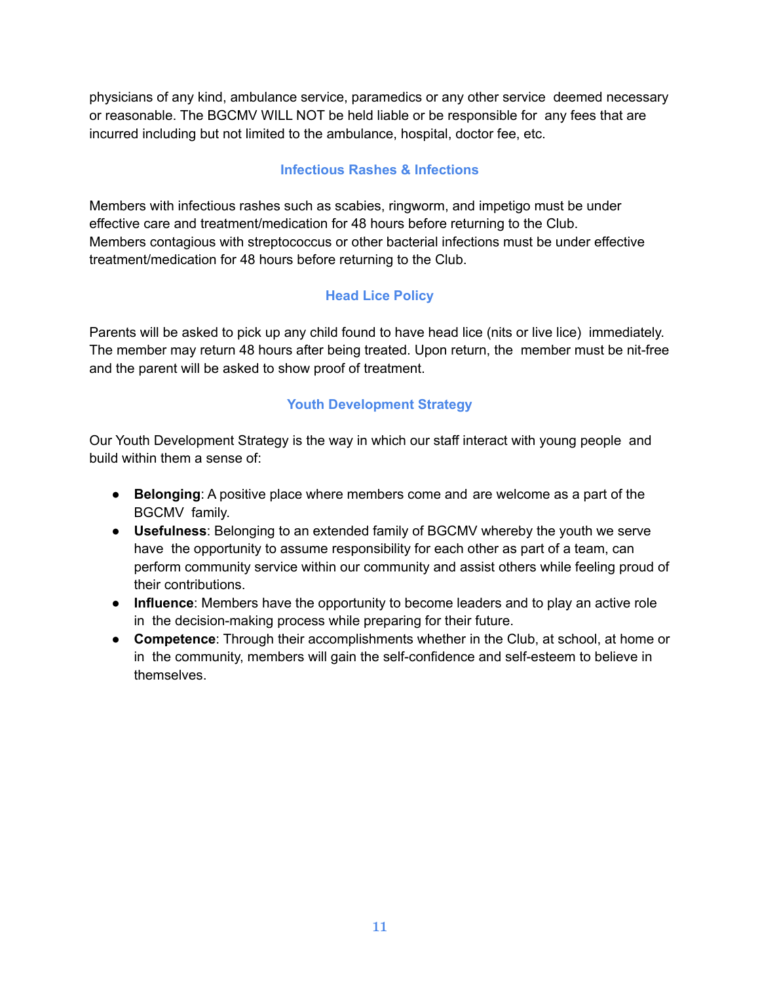physicians of any kind, ambulance service, paramedics or any other service deemed necessary or reasonable. The BGCMV WILL NOT be held liable or be responsible for any fees that are incurred including but not limited to the ambulance, hospital, doctor fee, etc.

# **Infectious Rashes & Infections**

Members with infectious rashes such as scabies, ringworm, and impetigo must be under effective care and treatment/medication for 48 hours before returning to the Club. Members contagious with streptococcus or other bacterial infections must be under effective treatment/medication for 48 hours before returning to the Club.

# **Head Lice Policy**

Parents will be asked to pick up any child found to have head lice (nits or live lice) immediately. The member may return 48 hours after being treated. Upon return, the member must be nit-free and the parent will be asked to show proof of treatment.

# **Youth Development Strategy**

Our Youth Development Strategy is the way in which our staff interact with young people and build within them a sense of:

- **Belonging**: A positive place where members come and are welcome as a part of the BGCMV family.
- **Usefulness**: Belonging to an extended family of BGCMV whereby the youth we serve have the opportunity to assume responsibility for each other as part of a team, can perform community service within our community and assist others while feeling proud of their contributions.
- **Influence**: Members have the opportunity to become leaders and to play an active role in the decision-making process while preparing for their future.
- **Competence:** Through their accomplishments whether in the Club, at school, at home or in the community, members will gain the self-confidence and self-esteem to believe in themselves.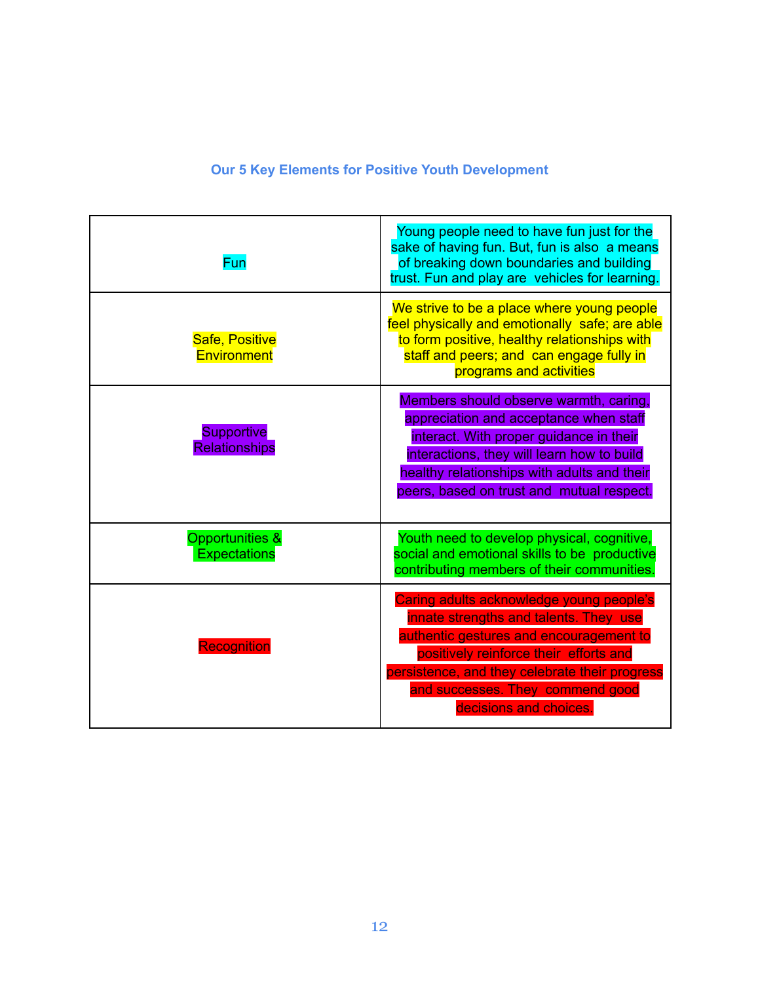# **Our 5 Key Elements for Positive Youth Development**

| Fun                                               | Young people need to have fun just for the<br>sake of having fun. But, fun is also a means<br>of breaking down boundaries and building<br>trust. Fun and play are vehicles for learning.                                                                                                |
|---------------------------------------------------|-----------------------------------------------------------------------------------------------------------------------------------------------------------------------------------------------------------------------------------------------------------------------------------------|
| Safe, Positive<br><b>Environment</b>              | We strive to be a place where young people<br>feel physically and emotionally safe; are able<br>to form positive, healthy relationships with<br>staff and peers; and can engage fully in<br>programs and activities                                                                     |
| <b>Supportive</b><br><b>Relationships</b>         | Members should observe warmth, caring,<br>appreciation and acceptance when staff<br>interact. With proper guidance in their<br>interactions, they will learn how to build<br>healthy relationships with adults and their<br>peers, based on trust and mutual respect.                   |
| <b>Opportunities &amp;</b><br><b>Expectations</b> | Youth need to develop physical, cognitive,<br>social and emotional skills to be productive<br>contributing members of their communities.                                                                                                                                                |
| <b>Recognition</b>                                | Caring adults acknowledge young people's<br>innate strengths and talents. They use<br>authentic gestures and encouragement to<br>positively reinforce their efforts and<br>persistence, and they celebrate their progress<br>and successes. They commend good<br>decisions and choices. |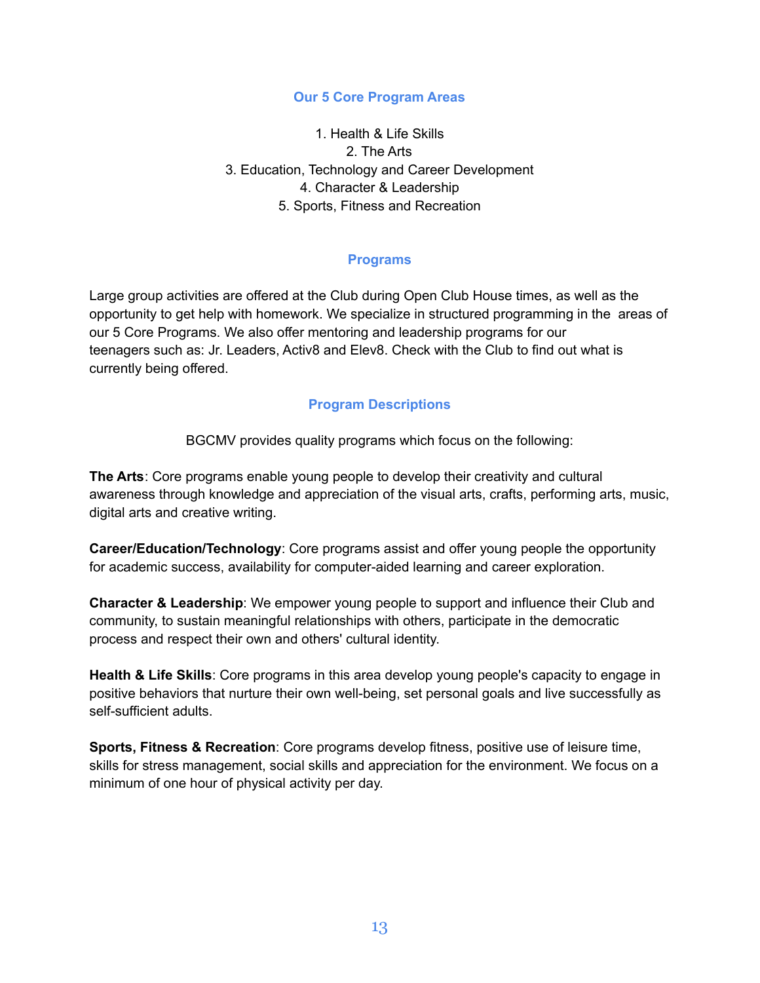### **Our 5 Core Program Areas**

1. Health & Life Skills 2. The Arts 3. Education, Technology and Career Development 4. Character & Leadership 5. Sports, Fitness and Recreation

### **Programs**

Large group activities are offered at the Club during Open Club House times, as well as the opportunity to get help with homework. We specialize in structured programming in the areas of our 5 Core Programs. We also offer mentoring and leadership programs for our teenagers such as: Jr. Leaders, Activ8 and Elev8. Check with the Club to find out what is currently being offered.

### **Program Descriptions**

BGCMV provides quality programs which focus on the following:

**The Arts**: Core programs enable young people to develop their creativity and cultural awareness through knowledge and appreciation of the visual arts, crafts, performing arts, music, digital arts and creative writing.

**Career/Education/Technology**: Core programs assist and offer young people the opportunity for academic success, availability for computer-aided learning and career exploration.

**Character & Leadership**: We empower young people to support and influence their Club and community, to sustain meaningful relationships with others, participate in the democratic process and respect their own and others' cultural identity.

**Health & Life Skills**: Core programs in this area develop young people's capacity to engage in positive behaviors that nurture their own well-being, set personal goals and live successfully as self-sufficient adults.

**Sports, Fitness & Recreation**: Core programs develop fitness, positive use of leisure time, skills for stress management, social skills and appreciation for the environment. We focus on a minimum of one hour of physical activity per day.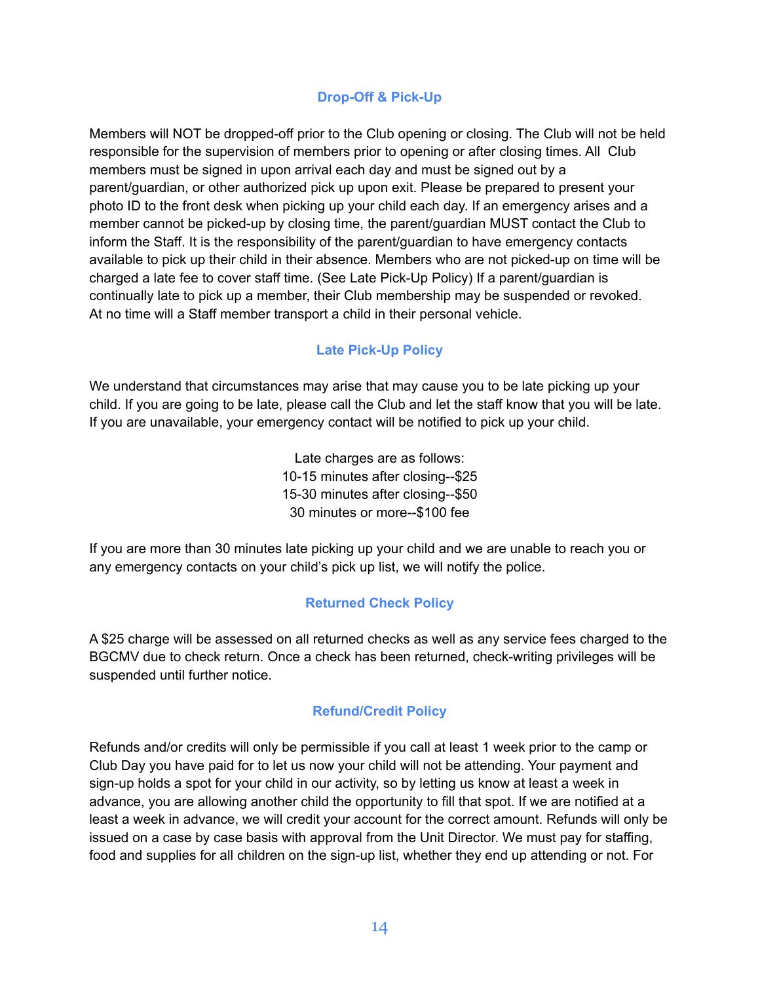# **Drop-Off & Pick-Up**

Members will NOT be dropped-off prior to the Club opening or closing. The Club will not be held responsible for the supervision of members prior to opening or after closing times. All Club members must be signed in upon arrival each day and must be signed out by a parent/guardian, or other authorized pick up upon exit. Please be prepared to present your photo ID to the front desk when picking up your child each day. If an emergency arises and a member cannot be picked-up by closing time, the parent/guardian MUST contact the Club to inform the Staff. It is the responsibility of the parent/guardian to have emergency contacts available to pick up their child in their absence. Members who are not picked-up on time will be charged a late fee to cover staff time. (See Late Pick-Up Policy) If a parent/guardian is continually late to pick up a member, their Club membership may be suspended or revoked. At no time will a Staff member transport a child in their personal vehicle.

### **Late Pick-Up Policy**

We understand that circumstances may arise that may cause you to be late picking up your child. If you are going to be late, please call the Club and let the staff know that you will be late. If you are unavailable, your emergency contact will be notified to pick up your child.

> Late charges are as follows: 10-15 minutes after closing--\$25 15-30 minutes after closing--\$50 30 minutes or more--\$100 fee

If you are more than 30 minutes late picking up your child and we are unable to reach you or any emergency contacts on your child's pick up list, we will notify the police.

# **Returned Check Policy**

A \$25 charge will be assessed on all returned checks as well as any service fees charged to the BGCMV due to check return. Once a check has been returned, check-writing privileges will be suspended until further notice.

### **Refund/Credit Policy**

Refunds and/or credits will only be permissible if you call at least 1 week prior to the camp or Club Day you have paid for to let us now your child will not be attending. Your payment and sign-up holds a spot for your child in our activity, so by letting us know at least a week in advance, you are allowing another child the opportunity to fill that spot. If we are notified at a least a week in advance, we will credit your account for the correct amount. Refunds will only be issued on a case by case basis with approval from the Unit Director. We must pay for staffing, food and supplies for all children on the sign-up list, whether they end up attending or not. For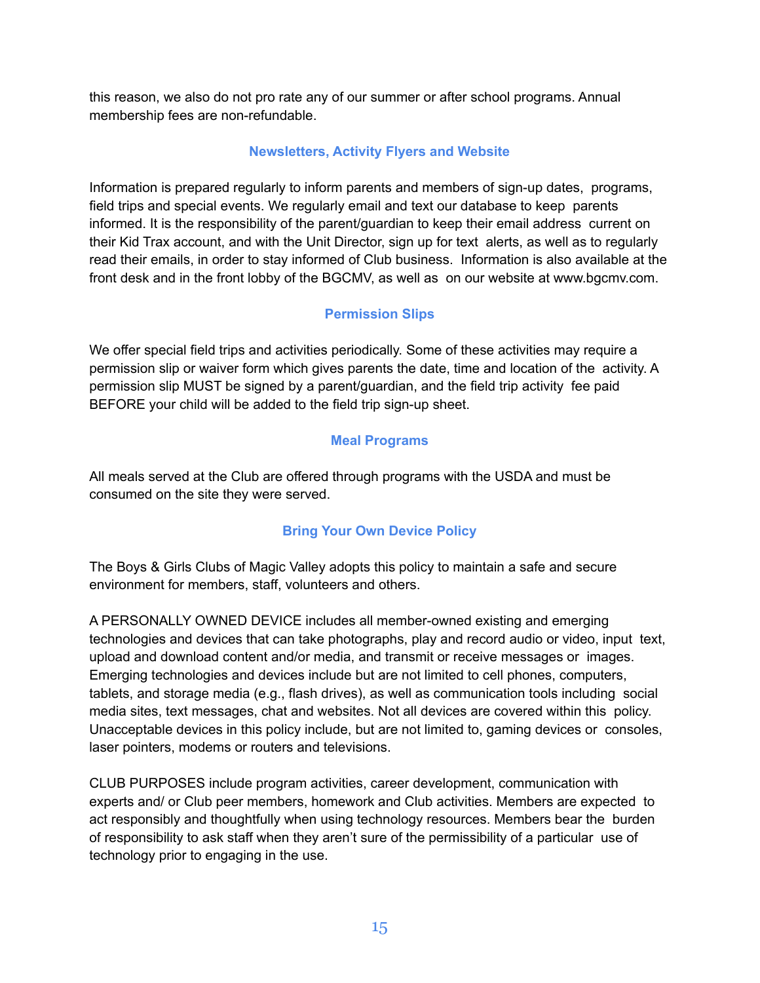this reason, we also do not pro rate any of our summer or after school programs. Annual membership fees are non-refundable.

# **Newsletters, Activity Flyers and Website**

Information is prepared regularly to inform parents and members of sign-up dates, programs, field trips and special events. We regularly email and text our database to keep parents informed. It is the responsibility of the parent/guardian to keep their email address current on their Kid Trax account, and with the Unit Director, sign up for text alerts, as well as to regularly read their emails, in order to stay informed of Club business. Information is also available at the front desk and in the front lobby of the BGCMV, as well as on our website at www.bgcmv.com.

# **Permission Slips**

We offer special field trips and activities periodically. Some of these activities may require a permission slip or waiver form which gives parents the date, time and location of the activity. A permission slip MUST be signed by a parent/guardian, and the field trip activity fee paid BEFORE your child will be added to the field trip sign-up sheet.

# **Meal Programs**

All meals served at the Club are offered through programs with the USDA and must be consumed on the site they were served.

# **Bring Your Own Device Policy**

The Boys & Girls Clubs of Magic Valley adopts this policy to maintain a safe and secure environment for members, staff, volunteers and others.

A PERSONALLY OWNED DEVICE includes all member-owned existing and emerging technologies and devices that can take photographs, play and record audio or video, input text, upload and download content and/or media, and transmit or receive messages or images. Emerging technologies and devices include but are not limited to cell phones, computers, tablets, and storage media (e.g., flash drives), as well as communication tools including social media sites, text messages, chat and websites. Not all devices are covered within this policy. Unacceptable devices in this policy include, but are not limited to, gaming devices or consoles, laser pointers, modems or routers and televisions.

CLUB PURPOSES include program activities, career development, communication with experts and/ or Club peer members, homework and Club activities. Members are expected to act responsibly and thoughtfully when using technology resources. Members bear the burden of responsibility to ask staff when they aren't sure of the permissibility of a particular use of technology prior to engaging in the use.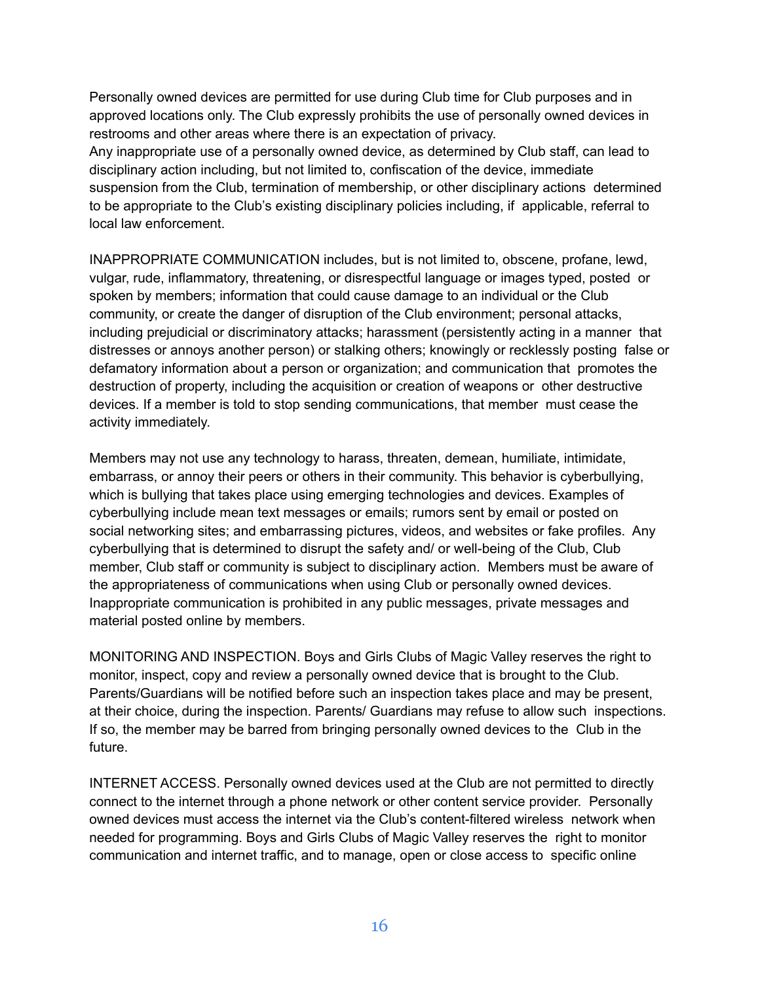Personally owned devices are permitted for use during Club time for Club purposes and in approved locations only. The Club expressly prohibits the use of personally owned devices in restrooms and other areas where there is an expectation of privacy.

Any inappropriate use of a personally owned device, as determined by Club staff, can lead to disciplinary action including, but not limited to, confiscation of the device, immediate suspension from the Club, termination of membership, or other disciplinary actions determined to be appropriate to the Club's existing disciplinary policies including, if applicable, referral to local law enforcement.

INAPPROPRIATE COMMUNICATION includes, but is not limited to, obscene, profane, lewd, vulgar, rude, inflammatory, threatening, or disrespectful language or images typed, posted or spoken by members; information that could cause damage to an individual or the Club community, or create the danger of disruption of the Club environment; personal attacks, including prejudicial or discriminatory attacks; harassment (persistently acting in a manner that distresses or annoys another person) or stalking others; knowingly or recklessly posting false or defamatory information about a person or organization; and communication that promotes the destruction of property, including the acquisition or creation of weapons or other destructive devices. If a member is told to stop sending communications, that member must cease the activity immediately.

Members may not use any technology to harass, threaten, demean, humiliate, intimidate, embarrass, or annoy their peers or others in their community. This behavior is cyberbullying, which is bullying that takes place using emerging technologies and devices. Examples of cyberbullying include mean text messages or emails; rumors sent by email or posted on social networking sites; and embarrassing pictures, videos, and websites or fake profiles. Any cyberbullying that is determined to disrupt the safety and/ or well-being of the Club, Club member, Club staff or community is subject to disciplinary action. Members must be aware of the appropriateness of communications when using Club or personally owned devices. Inappropriate communication is prohibited in any public messages, private messages and material posted online by members.

MONITORING AND INSPECTION. Boys and Girls Clubs of Magic Valley reserves the right to monitor, inspect, copy and review a personally owned device that is brought to the Club. Parents/Guardians will be notified before such an inspection takes place and may be present, at their choice, during the inspection. Parents/ Guardians may refuse to allow such inspections. If so, the member may be barred from bringing personally owned devices to the Club in the future.

INTERNET ACCESS. Personally owned devices used at the Club are not permitted to directly connect to the internet through a phone network or other content service provider. Personally owned devices must access the internet via the Club's content-filtered wireless network when needed for programming. Boys and Girls Clubs of Magic Valley reserves the right to monitor communication and internet traffic, and to manage, open or close access to specific online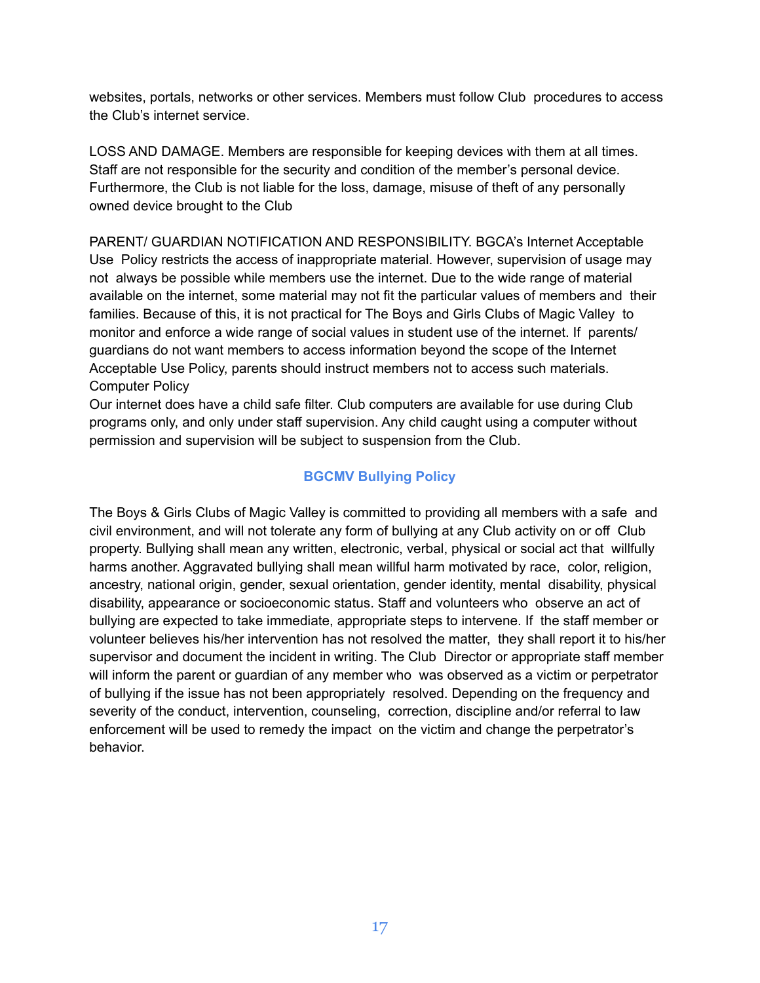websites, portals, networks or other services. Members must follow Club procedures to access the Club's internet service.

LOSS AND DAMAGE. Members are responsible for keeping devices with them at all times. Staff are not responsible for the security and condition of the member's personal device. Furthermore, the Club is not liable for the loss, damage, misuse of theft of any personally owned device brought to the Club

PARENT/ GUARDIAN NOTIFICATION AND RESPONSIBILITY. BGCA's Internet Acceptable Use Policy restricts the access of inappropriate material. However, supervision of usage may not always be possible while members use the internet. Due to the wide range of material available on the internet, some material may not fit the particular values of members and their families. Because of this, it is not practical for The Boys and Girls Clubs of Magic Valley to monitor and enforce a wide range of social values in student use of the internet. If parents/ guardians do not want members to access information beyond the scope of the Internet Acceptable Use Policy, parents should instruct members not to access such materials. Computer Policy

Our internet does have a child safe filter. Club computers are available for use during Club programs only, and only under staff supervision. Any child caught using a computer without permission and supervision will be subject to suspension from the Club.

# **BGCMV Bullying Policy**

The Boys & Girls Clubs of Magic Valley is committed to providing all members with a safe and civil environment, and will not tolerate any form of bullying at any Club activity on or off Club property. Bullying shall mean any written, electronic, verbal, physical or social act that willfully harms another. Aggravated bullying shall mean willful harm motivated by race, color, religion, ancestry, national origin, gender, sexual orientation, gender identity, mental disability, physical disability, appearance or socioeconomic status. Staff and volunteers who observe an act of bullying are expected to take immediate, appropriate steps to intervene. If the staff member or volunteer believes his/her intervention has not resolved the matter, they shall report it to his/her supervisor and document the incident in writing. The Club Director or appropriate staff member will inform the parent or guardian of any member who was observed as a victim or perpetrator of bullying if the issue has not been appropriately resolved. Depending on the frequency and severity of the conduct, intervention, counseling, correction, discipline and/or referral to law enforcement will be used to remedy the impact on the victim and change the perpetrator's behavior.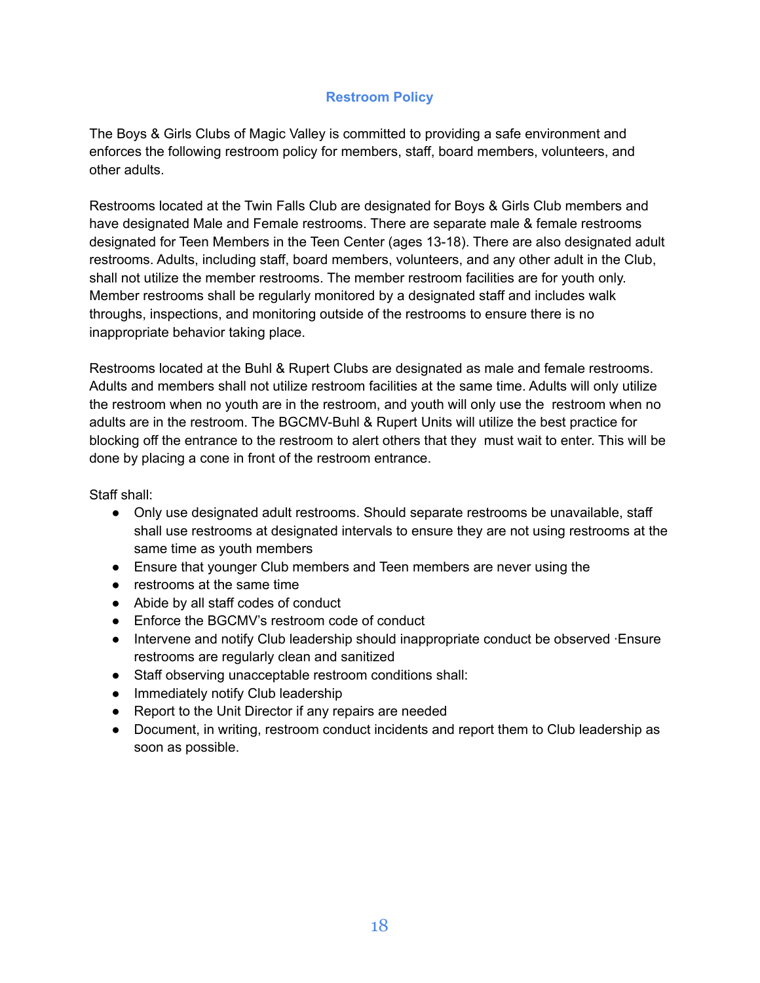# **Restroom Policy**

The Boys & Girls Clubs of Magic Valley is committed to providing a safe environment and enforces the following restroom policy for members, staff, board members, volunteers, and other adults.

Restrooms located at the Twin Falls Club are designated for Boys & Girls Club members and have designated Male and Female restrooms. There are separate male & female restrooms designated for Teen Members in the Teen Center (ages 13-18). There are also designated adult restrooms. Adults, including staff, board members, volunteers, and any other adult in the Club, shall not utilize the member restrooms. The member restroom facilities are for youth only. Member restrooms shall be regularly monitored by a designated staff and includes walk throughs, inspections, and monitoring outside of the restrooms to ensure there is no inappropriate behavior taking place.

Restrooms located at the Buhl & Rupert Clubs are designated as male and female restrooms. Adults and members shall not utilize restroom facilities at the same time. Adults will only utilize the restroom when no youth are in the restroom, and youth will only use the restroom when no adults are in the restroom. The BGCMV-Buhl & Rupert Units will utilize the best practice for blocking off the entrance to the restroom to alert others that they must wait to enter. This will be done by placing a cone in front of the restroom entrance.

Staff shall:

- Only use designated adult restrooms. Should separate restrooms be unavailable, staff shall use restrooms at designated intervals to ensure they are not using restrooms at the same time as youth members
- Ensure that younger Club members and Teen members are never using the
- restrooms at the same time
- Abide by all staff codes of conduct
- Enforce the BGCMV's restroom code of conduct
- Intervene and notify Club leadership should inappropriate conduct be observed ∙Ensure restrooms are regularly clean and sanitized
- Staff observing unacceptable restroom conditions shall:
- Immediately notify Club leadership
- Report to the Unit Director if any repairs are needed
- Document, in writing, restroom conduct incidents and report them to Club leadership as soon as possible.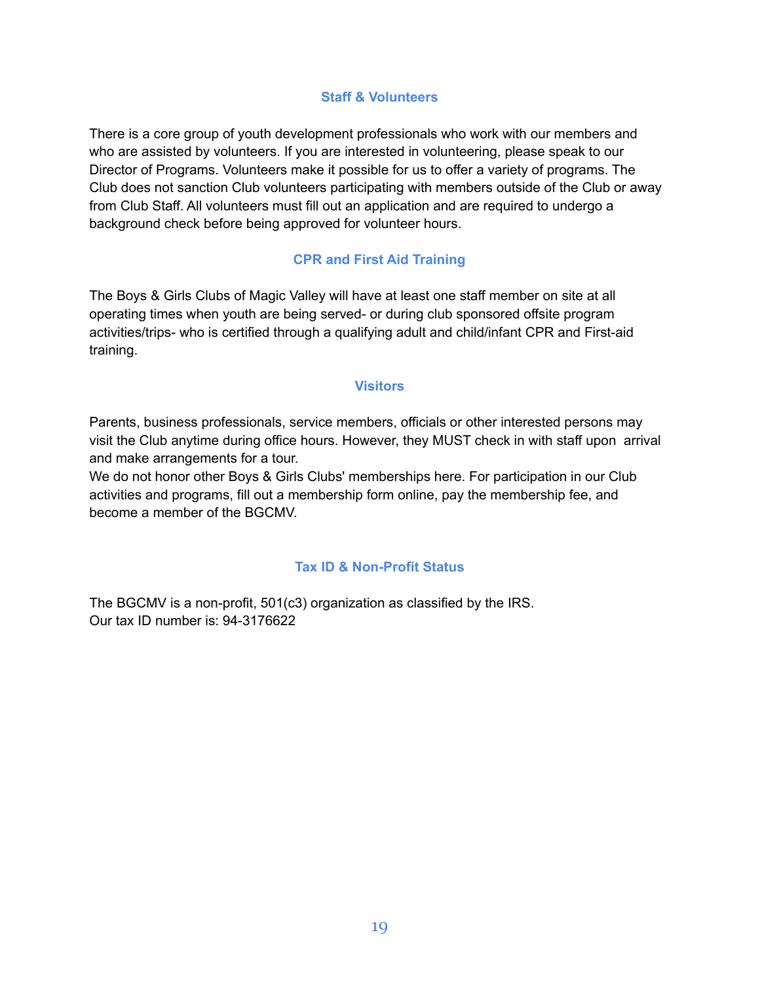### **Staff & Volunteers**

There is a core group of youth development professionals who work with our members and who are assisted by volunteers. If you are interested in volunteering, please speak to our Director of Programs. Volunteers make it possible for us to offer a variety of programs. The Club does not sanction Club volunteers participating with members outside of the Club or away from Club Staff. All volunteers must fill out an application and are required to undergo a background check before being approved for volunteer hours.

# **CPR and First Aid Training**

The Boys & Girls Clubs of Magic Valley will have at least one staff member on site at all operating times when youth are being served- or during club sponsored offsite program activities/trips- who is certified through a qualifying adult and child/infant CPR and First-aid training.

### **Visitors**

Parents, business professionals, service members, officials or other interested persons may visit the Club anytime during office hours. However, they MUST check in with staff upon arrival and make arrangements for a tour.

We do not honor other Boys & Girls Clubs' memberships here. For participation in our Club activities and programs, fill out a membership form online, pay the membership fee, and become a member of the BGCMV.

### **Tax ID & Non-Profit Status**

The BGCMV is a non-profit, 501(c3) organization as classified by the IRS. Our tax ID number is: 94-3176622